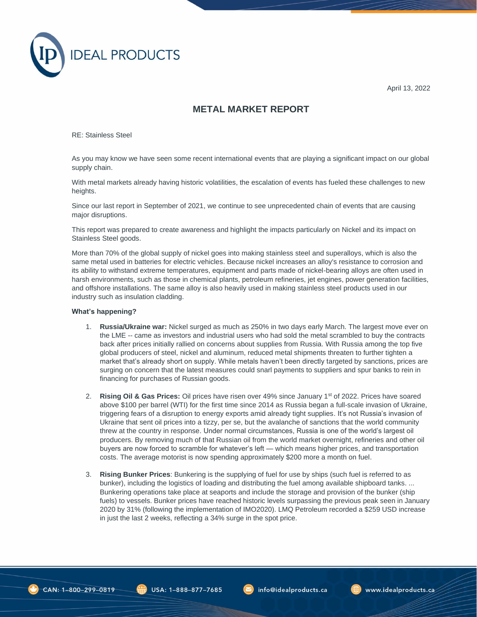

April 13, 2022

## **METAL MARKET REPORT**

RE: Stainless Steel

As you may know we have seen some recent international events that are playing a significant impact on our global supply chain.

With metal markets already having historic volatilities, the escalation of events has fueled these challenges to new heights.

Since our last report in September of 2021, we continue to see unprecedented chain of events that are causing major disruptions.

This report was prepared to create awareness and highlight the impacts particularly on Nickel and its impact on Stainless Steel goods.

More than 70% of the global supply of nickel goes into making stainless steel and superalloys, which is also the same metal used in batteries for electric vehicles. Because nickel increases an alloy's resistance to corrosion and its ability to withstand extreme temperatures, equipment and parts made of nickel-bearing alloys are often used in harsh environments, such as those in chemical plants, petroleum refineries, jet engines, power generation facilities, and offshore installations. The same alloy is also heavily used in making stainless steel products used in our industry such as insulation cladding.

## **What's happening?**

- 1. **Russia/Ukraine war:** Nickel surged as much as 250% in two days early March. The largest move ever on the LME -- came as investors and industrial users who had sold the metal scrambled to buy the contracts back after prices initially rallied on concerns about supplies from Russia. With Russia among the top five global producers of steel, nickel and aluminum, reduced metal shipments threaten to further tighten a market that's already short on supply. While metals haven't been directly targeted by sanctions, prices are surging on concern that the latest measures could snarl payments to suppliers and spur banks to rein in financing for purchases of Russian goods.
- 2. **Rising Oil & Gas Prices:** Oil prices have risen over 49% since January 1st of 2022. Prices have soared above \$100 per barrel (WTI) for the first time since 2014 as Russia began a full-scale invasion of Ukraine, triggering fears of a disruption to energy exports amid already tight supplies. It's not Russia's invasion of Ukraine that sent oil prices into a tizzy, per se, but the avalanche of sanctions that the world community threw at the country in response. Under normal circumstances, Russia is one of the world's largest oil producers. By removing much of that Russian oil from the world market overnight, refineries and other oil buyers are now forced to scramble for whatever's left — which means higher prices, and transportation costs. The average motorist is now spending approximately \$200 more a month on fuel.
- 3. **Rising Bunker Prices**: Bunkering is the supplying of fuel for use by ships (such fuel is referred to as bunker), including the logistics of loading and distributing the fuel among available shipboard tanks. ... Bunkering operations take place at seaports and include the storage and provision of the bunker (ship fuels) to vessels. Bunker prices have reached historic levels surpassing the previous peak seen in January 2020 by 31% (following the implementation of IMO2020). LMQ Petroleum recorded a \$259 USD increase in just the last 2 weeks, reflecting a 34% surge in the spot price.

 $\overrightarrow{610}$  USA: 1-888-877-7685